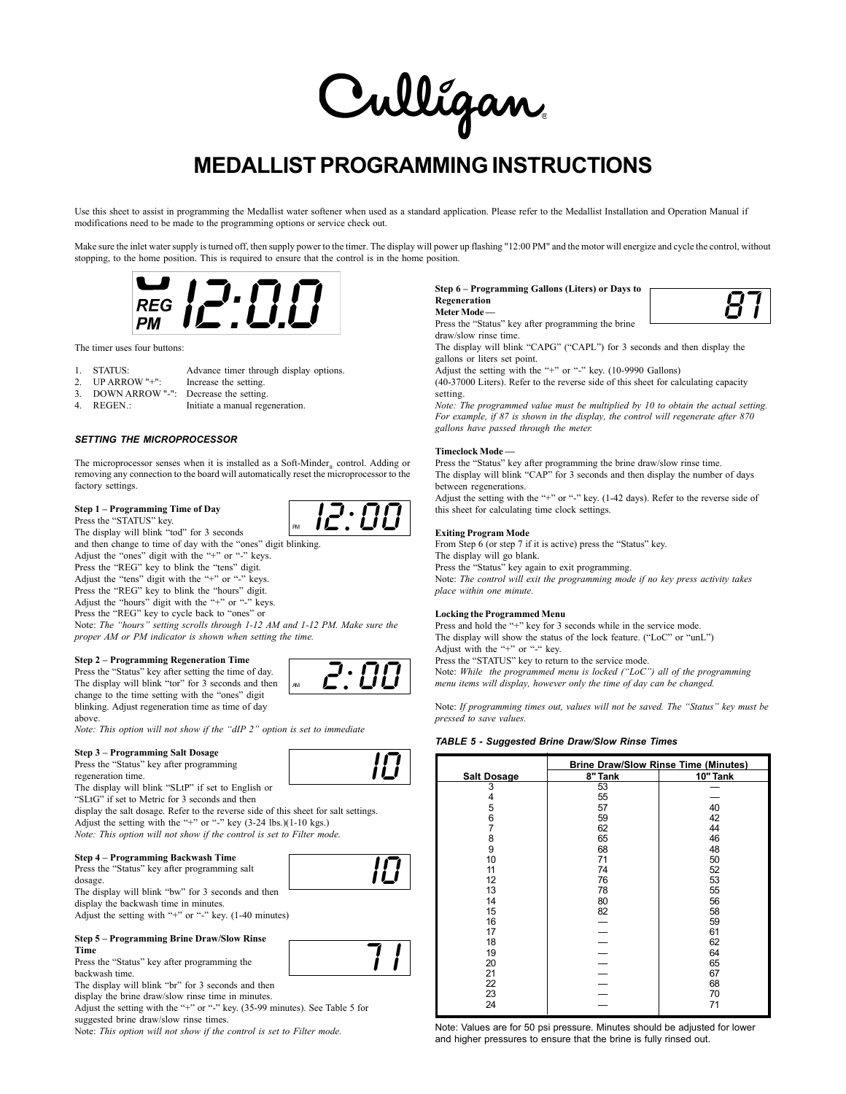# Culligan.

# **MEDALLIST PROGRAMMING INSTRUCTIONS**

Use this sheet to assist in programming the Medallist water softener when used as a standard application. Please refer to the Medallist Installation and Operation Manual if modifications need to be made to the programming options or service check out.

Make sure the inlet water supply is turned off, then supply power to the timer. The display will power up flashing "12:00 PM" and the motor will energize and cycle the control, without stopping, to the home position. This is required to ensure that the control is in the home position.



The timer uses four buttons:

- 
- 1. STATUS: Advance timer through display options.<br>2. UP ARROW "+": Increase the setting.
- 2. UP ARROW "+": Increase the setting.<br>3. DOWN ARROW "-": Decrease the setting. DOWN ARROW "-":
- 4. REGEN.: Initiate a manual regeneration.

### *SETTING THE MICROPROCESSOR*

The microprocessor senses when it is installed as a Soft-Minder $_{\circledast}$  control. Adding or removing any connection to the board will automatically reset the microprocessor to the factory settings.

# **Step 1 – Programming Time of Day**

Press the "STATUS" key.

The display will blink "tod" for 3 seconds and then change to time of day with the "ones" digit blinking. Adjust the "ones" digit with the "+" or "-" keys.

Press the "REG" key to blink the "tens" digit. Adjust the "tens" digit with the "+" or "-" keys. Press the "REG" key to blink the "hours" digit.

Adjust the "hours" digit with the "+" or "-" keys.

Press the "REG" key to cycle back to "ones" or

Note: *The "hours" setting scrolls through 1-12 AM and 1-12 PM. Make sure the proper AM or PM indicator is shown when setting the time.*

# **Step 2 – Programming Regeneration Time**

Press the "Status" key after setting the time of day. The display will blink "tor" for 3 seconds and then change to the time setting with the "ones" digit blinking. Adjust regeneration time as time of day above.

*Note: This option will not show if the "dIP 2" option is set to immediate*

#### **Step 3 – Programming Salt Dosage**

Press the "Status" key after programming

The display will blink "SLtP" if set to English or "SLtG" if set to Metric for 3 seconds and then

display the salt dosage. Refer to the reverse side of this sheet for salt settings. Adjust the setting with the "+" or "-" key  $(3-24 \text{ lbs.})(1-10 \text{ kgs.})$ 

*Note: This option will not show if the control is set to Filter mode.*

# **Step 4 – Programming Backwash Time** Press the "Status" key after programming salt

dosage.

regeneration time.

The display will blink "bw" for 3 seconds and then display the backwash time in minutes.

Adjust the setting with "+" or "-" key. (1-40 minutes)

#### **Step 5 – Programming Brine Draw/Slow Rinse Time**

Press the "Status" key after programming the backwash time.

The display will blink "br" for 3 seconds and then display the brine draw/slow rinse time in minutes.

Adjust the setting with the "+" or "-" key. (35-99 minutes). See Table 5 for suggested brine draw/slow rinse times.

Note: *This option will not show if the control is set to Filter mode.*

#### **Step 6 – Programming Gallons (Liters) or Days to Regeneration Meter Mode —**



The display will blink "CAPG" ("CAPL") for 3 seconds and then display the gallons or liters set point.

Adjust the setting with the "+" or "-" key. (10-9990 Gallons)

(40-37000 Liters). Refer to the reverse side of this sheet for calculating capacity setting.

*Note: The programmed value must be multiplied by 10 to obtain the actual setting. For example, if 87 is shown in the display, the control will regenerate after 870 gallons have passed through the meter.*

#### **Timeclock Mode —**

Press the "Status" key after programming the brine draw/slow rinse time. The display will blink "CAP" for 3 seconds and then display the number of days between regenerations.

Adjust the setting with the "+" or "-" key. (1-42 days). Refer to the reverse side of this sheet for calculating time clock settings.

#### **Exiting Program Mode**

From Step 6 (or step 7 if it is active) press the "Status" key.

The display will go blank.

Press the "Status" key again to exit programming.

Note: *The control will exit the programming mode if no key press activity takes place within one minute.*

#### **Locking the Programmed Menu**

Press and hold the "+" key for 3 seconds while in the service mode. The display will show the status of the lock feature. ("LoC" or "unL") Adjust with the "+" or "-" key.

Press the "STATUS" key to return to the service mode.

Note: *While the programmed menu is locked ("LoC") all of the programming menu items will display, however only the time of day can be changed.*

Note: *If programming times out, values will not be saved. The "Status" key must be pressed to save values.*

*TABLE 5 - Suggested Brine Draw/Slow Rinse Times*

|                    | <b>Brine Draw/Slow Rinse Time (Minutes)</b> |          |  |  |
|--------------------|---------------------------------------------|----------|--|--|
| <b>Salt Dosage</b> | 8" Tank                                     | 10" Tank |  |  |
| 3                  | 53                                          |          |  |  |
| 4                  | 55                                          |          |  |  |
| 5                  | 57                                          | 40       |  |  |
| 6                  | 59                                          | 42       |  |  |
|                    | 62                                          | 44       |  |  |
| 8                  | 65                                          | 46       |  |  |
| 9                  | 68                                          | 48       |  |  |
| 10                 | 71                                          | 50       |  |  |
| 11                 | 74                                          | 52       |  |  |
| 12                 | 76                                          | 53       |  |  |
| 13                 | 78                                          | 55       |  |  |
| 14                 | 80                                          | 56       |  |  |
| 15                 | 82                                          | 58       |  |  |
| 16                 |                                             | 59       |  |  |
| 17                 |                                             | 61       |  |  |
| 18                 |                                             | 62       |  |  |
| 19                 |                                             | 64       |  |  |
| 20                 |                                             | 65       |  |  |
| 21                 |                                             | 67       |  |  |
| 22                 |                                             | 68       |  |  |
| 23                 |                                             | 70       |  |  |
| 24                 |                                             | 71       |  |  |

Note: Values are for 50 psi pressure. Minutes should be adjusted for lower and higher pressures to ensure that the brine is fully rinsed out.





AM 2*:*00

I0

I0

7 I